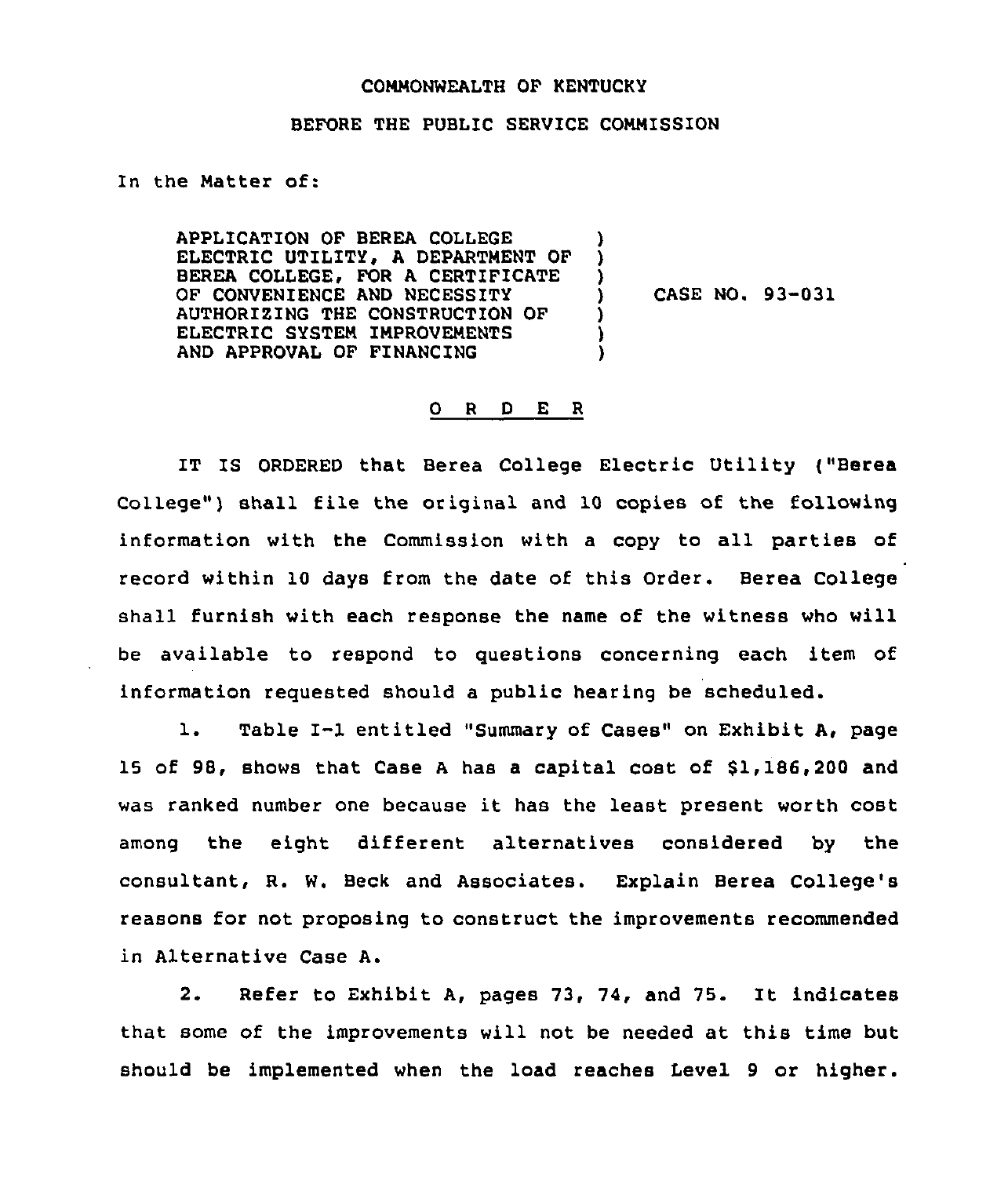## COMMONWEALTH OF KENTUCKY

## BEFORE THE PUBLIC SERVICE COMMISSION

)

) ) )

In the Matter of:

APPLICATION OF BEREA COLLEGE ELECTRIC UTILITY, A DEPARTMENT OF BEREA COLLEGE, FOR A CERTIFICATE OF CONVENIENCE AND NECESSITY AUTHORIZING THE CONSTRUCTION OF ELECTRIC SYSTEM IMPROVEMENTS AND APPROVAL OF FINANCING ) )<br>)

CASE NO. 93-031

## 0 <sup>R</sup> <sup>D</sup> E <sup>R</sup>

IT IS ORDERED that Berea College Electric Utility ("Berea College") shall file the original and 10 copies of the following information with the Commission with <sup>a</sup> copy to all parties of record within 10 days from the date of this Order. Berea College shall furnish with each response the name of the witness who will be available to respond to questions concerning each item of information requested should a public hearing be scheduled.

1. Table I-1 entitled "Summary of Cases" on Exhibit A, page 15 of 98, shows that Case <sup>A</sup> has a capital cost of \$1,186,200 and was ranked number one because it has the least present worth cost among the eight different alternatives considered by the consultant, R. W. Beck and Associates. Explain Berea College's reasons for not proposing to construct the improvements recommended in Alternative Case A.

2. Refer to Exhibit A, pages 73, 74, and 75. It indicates that some of the improvements will not be needed at this time but should be implemented when the load reaches Level 9 or higher.